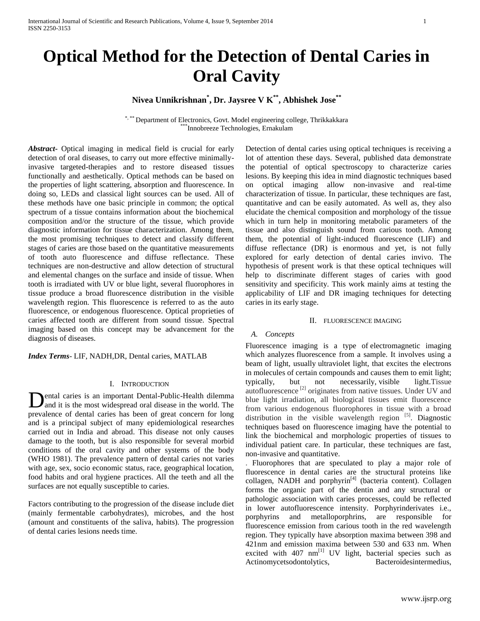**Nivea Unnikrishnan\* , Dr. Jaysree V K\*\*, Abhishek Jose\*\***

\*, \*\*\* Department of Electronics, Govt. Model engineering college, Thrikkakkara \*\*\*Innobreeze Technologies, Ernakulam

*Abstract***-** Optical imaging in medical field is crucial for early detection of oral diseases, to carry out more effective minimallyinvasive targeted-therapies and to restore diseased tissues functionally and aesthetically. Optical methods can be based on the properties of light scattering, absorption and fluorescence. In doing so, LEDs and classical light sources can be used. All of these methods have one basic principle in common; the optical spectrum of a tissue contains information about the biochemical composition and/or the structure of the tissue, which provide diagnostic information for tissue characterization. Among them, the most promising techniques to detect and classify different stages of caries are those based on the quantitative measurements of tooth auto fluorescence and diffuse reflectance. These techniques are non-destructive and allow detection of structural and elemental changes on the surface and inside of tissue. When tooth is irradiated with UV or blue light, several fluorophores in tissue produce a broad fluorescence distribution in the visible wavelength region. This fluorescence is referred to as the auto fluorescence, or endogenous fluorescence. Optical proprieties of caries affected tooth are different from sound tissue. Spectral imaging based on this concept may be advancement for the diagnosis of diseases.

*Index Terms*- LIF, NADH,DR, Dental caries, MATLAB

### I. INTRODUCTION

ental caries is an important Dental-Public-Health dilemma and it is the most widespread oral disease in the world. The prevalence of dental caries has been of great concern for long and is a principal subject of many epidemiological researches carried out in India and abroad. This disease not only causes damage to the tooth, but is also responsible for several morbid conditions of the oral cavity and other systems of the body (WHO 1981). The prevalence pattern of dental caries not varies with age, sex, socio economic status, race, geographical location, food habits and oral hygiene practices. All the teeth and all the surfaces are not equally susceptible to caries. D

Factors contributing to the progression of the disease include diet (mainly fermentable carbohydrates), microbes, and the host (amount and constituents of the saliva, habits). The progression of dental caries lesions needs time.

Detection of dental caries using optical techniques is receiving a lot of attention these days. Several, published data demonstrate the potential of optical spectroscopy to characterize caries lesions. By keeping this idea in mind diagnostic techniques based on optical imaging allow non-invasive and real-time characterization of tissue. In particular, these techniques are fast, quantitative and can be easily automated. As well as, they also elucidate the chemical composition and morphology of the tissue which in turn help in monitoring metabolic parameters of the tissue and also distinguish sound from carious tooth. Among them, the potential of light-induced fluorescence (LIF) and diffuse reflectance (DR) is enormous and yet, is not fully explored for early detection of dental caries invivo. The hypothesis of present work is that these optical techniques will help to discriminate different stages of caries with good sensitivity and specificity. This work mainly aims at testing the applicability of LIF and DR imaging techniques for detecting caries in its early stage.

#### II. FLUORESCENCE IMAGING

### *A. Concepts*

Fluorescence imaging is a type of electromagnetic imaging which analyzes fluorescence from a sample. It involves using a beam of light, usually ultraviolet light, that excites the electrons in molecules of certain compounds and causes them to emit light; typically, but not necessarily, visible light.Tissue autofluorescence [2] originates from native tissues. Under UV and blue light irradiation, all biological tissues emit fluorescence from various endogenous fluorophores in tissue with a broad distribution in the visible wavelength region  $[5]$ . Diagnostic techniques based on fluorescence imaging have the potential to link the biochemical and morphologic properties of tissues to individual patient care. In particular, these techniques are fast, non-invasive and quantitative.

. Fluorophores that are speculated to play a major role of fluorescence in dental caries are the structural proteins like collagen, NADH and porphyrin<sup>[4]</sup> (bacteria content). Collagen forms the organic part of the dentin and any structural or pathologic association with caries processes, could be reflected in lower autofluorescence intensity. Porphyrinderivates i.e., porphyrins and metalloporphrins, are responsible for fluorescence emission from carious tooth in the red wavelength region. They typically have absorption maxima between 398 and 421nm and emission maxima between 530 and 633 nm. When excited with  $407 \text{ nm}^{[1]}$  UV light, bacterial species such as Actinomycetsodontolytics, Bacteroidesintermedius,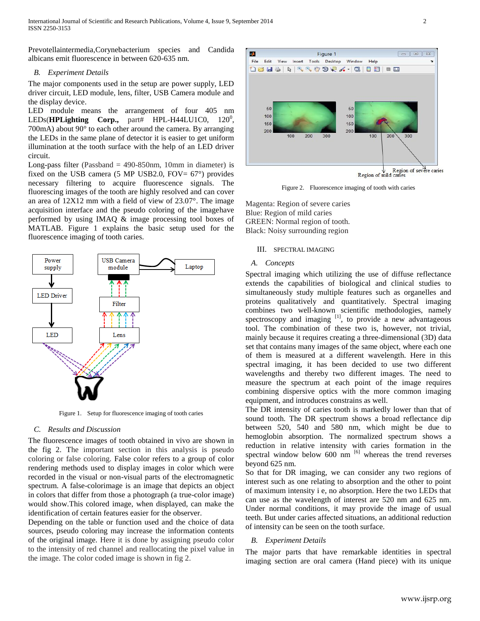Prevotellaintermedia,Corynebacterium species and Candida albicans emit fluorescence in between 620-635 nm.

### *B. Experiment Details*

The major components used in the setup are power supply, LED driver circuit, LED module, lens, filter, USB Camera module and the display device.

LED module means the arrangement of four 405 nm LEDs(**HPLighting Corp.,** part# HPL-H44LU1C0, 120<sup>0</sup>, 700mA) about 90° to each other around the camera. By arranging the LEDs in the same plane of detector it is easier to get uniform illumination at the tooth surface with the help of an LED driver circuit.

Long-pass filter (Passband  $=$  490-850nm, 10mm in diameter) is fixed on the USB camera (5 MP USB2.0, FOV=  $67^{\circ}$ ) provides necessary filtering to acquire fluorescence signals. The fluorescing images of the tooth are highly resolved and can cover an area of 12X12 mm with a field of view of 23.07°. The image acquisition interface and the pseudo coloring of the imagehave performed by using IMAQ & image processing tool boxes of MATLAB. Figure 1 explains the basic setup used for the fluorescence imaging of tooth caries.



Figure 1. Setup for fluorescence imaging of tooth caries

# *C. Results and Discussion*

The fluorescence images of tooth obtained in vivo are shown in the fig 2. The important section in this analysis is pseudo coloring or false coloring. False color refers to a group of color rendering methods used to display images in color which were recorded in the visual or non-visual parts of the electromagnetic spectrum. A false-colorimage is an image that depicts an object in colors that differ from those a photograph (a true-color image) would show.This colored image, when displayed, can make the identification of certain features easier for the observer.

Depending on the table or function used and the choice of data sources, pseudo coloring may increase the information contents of the original image. Here it is done by assigning pseudo color to the intensity of red channel and reallocating the pixel value in the image. The color coded image is shown in fig 2.



Figure 2. Fluorescence imaging of tooth with caries

Magenta: Region of severe caries Blue: Region of mild caries GREEN: Normal region of tooth. Black: Noisy surrounding region

## III. SPECTRAL IMAGING

## *A. Concepts*

Spectral imaging which utilizing the use of diffuse reflectance extends the capabilities of biological and clinical studies to simultaneously study multiple features such as organelles and proteins qualitatively and quantitatively. Spectral imaging combines two well-known scientific methodologies, namely spectroscopy and imaging <sup>[1]</sup>, to provide a new advantageous tool. The combination of these two is, however, not trivial, mainly because it requires creating a three-dimensional (3D) data set that contains many images of the same object, where each one of them is measured at a different wavelength. Here in this spectral imaging, it has been decided to use two different wavelengths and thereby two different images. The need to measure the spectrum at each point of the image requires combining dispersive optics with the more common imaging equipment, and introduces constrains as well.

The DR intensity of caries tooth is markedly lower than that of sound tooth. The DR spectrum shows a broad reflectance dip between 520, 540 and 580 nm, which might be due to hemoglobin absorption. The normalized spectrum shows a reduction in relative intensity with caries formation in the spectral window below  $600 \text{ nm}$ <sup>[6]</sup> whereas the trend reverses beyond 625 nm.

So that for DR imaging, we can consider any two regions of interest such as one relating to absorption and the other to point of maximum intensity i e, no absorption. Here the two LEDs that can use as the wavelength of interest are 520 nm and 625 nm. Under normal conditions, it may provide the image of usual teeth. But under caries affected situations, an additional reduction of intensity can be seen on the tooth surface.

# *B. Experiment Details*

The major parts that have remarkable identities in spectral imaging section are oral camera (Hand piece) with its unique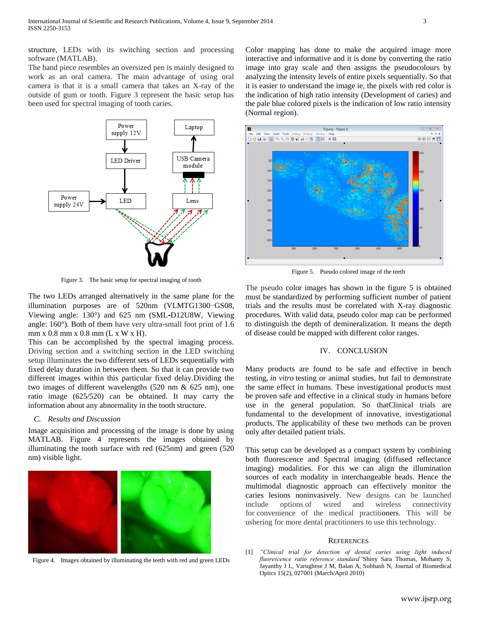structure, LEDs with its switching section and processing software (MATLAB).

The hand piece resembles an oversized pen is mainly designed to work as an oral camera. The main advantage of using oral camera is that it is a small camera that takes an X-ray of the outside of gum or tooth. Figure 3 represent the basic setup has been used for spectral imaging of tooth caries.



Figure 3. The basic setup for spectral imaging of tooth

The two LEDs arranged alternatively in the same plane for the illumination purposes are of 520nm (VLMTG1300-GS08, Viewing angle: 130°) and 625 nm (SML**-**D12U8W, Viewing angle: 160°). Both of them have very ultra-small foot print of 1.6 mm x 0.8 mm x 0.8 mm (L x W x H).

This can be accomplished by the spectral imaging process. Driving section and a switching section in the LED switching setup illuminates the two different sets of LEDs sequentially with fixed delay duration in between them. So that it can provide two different images within this particular fixed delay.Dividing the two images of different wavelengths (520 nm & 625 nm), one ratio image (625/520) can be obtained. It may carry the information about any abnormality in the tooth structure.

### *C. Results and Discussion*

Image acquisition and processing of the image is done by using MATLAB. Figure 4 represents the images obtained by illuminating the tooth surface with red (625nm) and green (520 nm) visible light.



Figure 4. Images obtained by illuminating the teeth with red and green LEDs

Color mapping has done to make the acquired image more interactive and informative and it is done by converting the ratio image into gray scale and then assigns the pseudocolours by analyzing the intensity levels of entire pixels sequentially. So that it is easier to understand the image ie, the pixels with red color is the indication of high ratio intensity (Development of caries) and the pale blue colored pixels is the indication of low ratio intensity (Normal region).



Figure 5. Pseudo colored image of the teeth

The pseudo color images has shown in the figure 5 is obtained must be standardized by performing sufficient number of patient trials and the results must be correlated with X-ray diagnostic procedures. With valid data, pseudo color map can be performed to distinguish the depth of demineralization. It means the depth of disease could be mapped with different color ranges.

#### IV. CONCLUSION

Many products are found to be safe and effective in bench testing, *in vitro* testing or animal studies, but fail to demonstrate the same effect in humans. These investigational products must be proven safe and effective in a clinical study in humans before use in the general population. So thatClinical trials are fundamental to the development of innovative, investigational products. The applicability of these two methods can be proven only after detailed patient trials.

This setup can be developed as a compact system by combining both fluorescence and Spectral imaging (diffused reflectance imaging) modalities. For this we can align the illumination sources of each modality in interchangeable heads. Hence the multimodal diagnostic approach can effectively monitor the caries lesions noninvasively. New designs can be launched include options of wired and wireless connectivity for convenience of the medical practitioners. This will be ushering for more dental practitioners to use this technology.

#### **REFERENCES**

[1] *"Clinical trial for detection of dental caries using light induced fluorescence ratio reference standard"*Shiny Sara Thomas, Mohanty S, Jayanthy J L, Varughese J M, Balan A, Subhash N, Journal of Biomedical Optics 15(2), 027001 (March/April 2010)